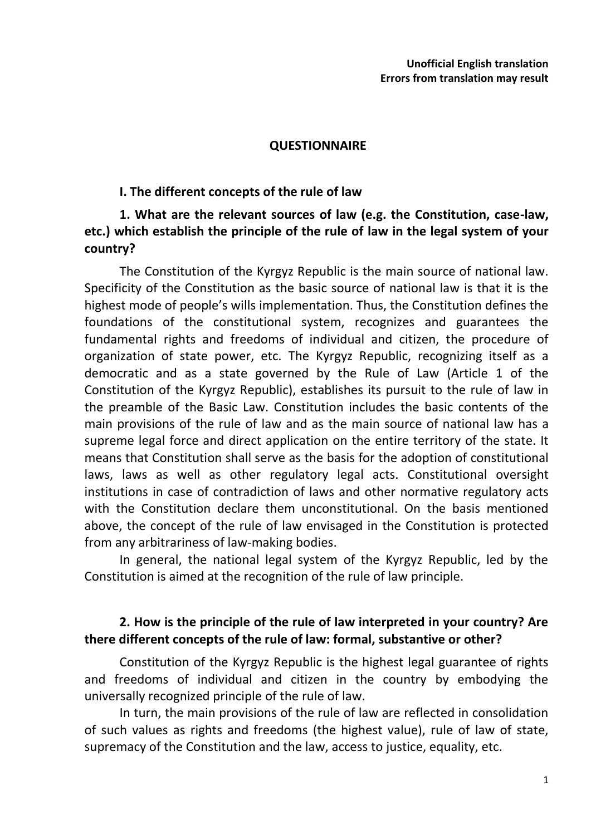#### **QUESTIONNAIRE**

#### **I. The different concepts of the rule of law**

## **1. What are the relevant sources of law (e.g. the Constitution, case-law, etc.) which establish the principle of the rule of law in the legal system of your country?**

The Constitution of the Kyrgyz Republic is the main source of national law. Specificity of the Constitution as the basic source of national law is that it is the highest mode of people's wills implementation. Thus, the Constitution defines the foundations of the constitutional system, recognizes and guarantees the fundamental rights and freedoms of individual and citizen, the procedure of organization of state power, etc. The Kyrgyz Republic, recognizing itself as a democratic and as a state governed by the Rule of Law (Article 1 of the Constitution of the Kyrgyz Republic), establishes its pursuit to the rule of law in the preamble of the Basic Law. Constitution includes the basic contents of the main provisions of the rule of law and as the main source of national law has a supreme legal force and direct application on the entire territory of the state. It means that Constitution shall serve as the basis for the adoption of constitutional laws, laws as well as other regulatory legal acts. Constitutional oversight institutions in case of contradiction of laws and other normative regulatory acts with the Constitution declare them unconstitutional. On the basis mentioned above, the concept of the rule of law envisaged in the Constitution is protected from any arbitrariness of law-making bodies.

In general, the national legal system of the Kyrgyz Republic, led by the Constitution is aimed at the recognition of the rule of law principle.

## **2. How is the principle of the rule of law interpreted in your country? Are there different concepts of the rule of law: formal, substantive or other?**

Constitution of the Kyrgyz Republic is the highest legal guarantee of rights and freedoms of individual and citizen in the country by embodying the universally recognized principle of the rule of law.

In turn, the main provisions of the rule of law are reflected in consolidation of such values as rights and freedoms (the highest value), rule of law of state, supremacy of the Constitution and the law, access to justice, equality, etc.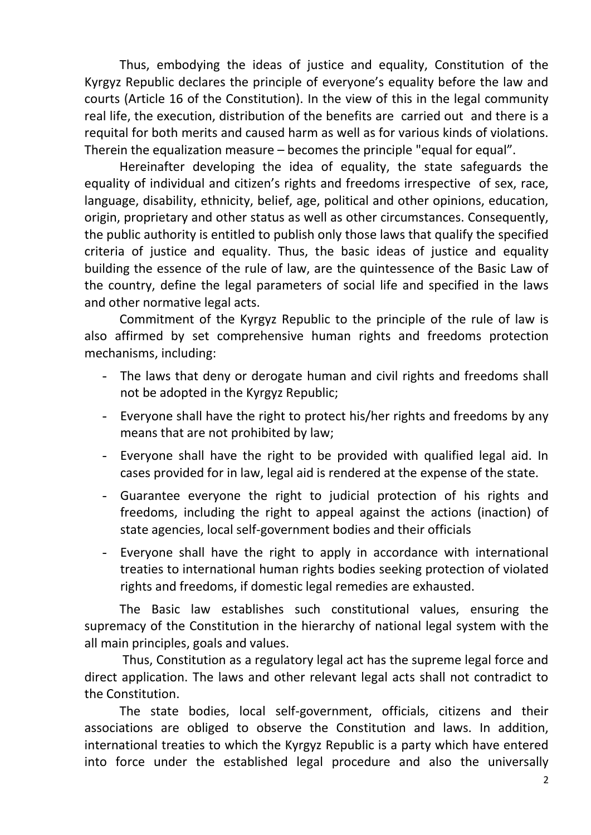Thus, embodying the ideas of justice and equality, Constitution of the Kyrgyz Republic declares the principle of everyone's equality before the law and courts (Article 16 of the Constitution). In the view of this in the legal community real life, the execution, distribution of the benefits are carried out and there is a requital for both merits and caused harm as well as for various kinds of violations. Therein the equalization measure – becomes the principle "equal for equal".

Hereinafter developing the idea of equality, the state safeguards the equality of individual and citizen's rights and freedoms irrespective of sex, race, language, disability, ethnicity, belief, age, political and other opinions, education, origin, proprietary and other status as well as other circumstances. Consequently, the public authority is entitled to publish only those laws that qualify the specified criteria of justice and equality. Thus, the basic ideas of justice and equality building the essence of the rule of law, are the quintessence of the Basic Law of the country, define the legal parameters of social life and specified in the laws and other normative legal acts.

Commitment of the Kyrgyz Republic to the principle of the rule of law is also affirmed by set comprehensive human rights and freedoms protection mechanisms, including:

- The laws that deny or derogate human and civil rights and freedoms shall not be adopted in the Kyrgyz Republic;
- Everyone shall have the right to protect his/her rights and freedoms by any means that are not prohibited by law;
- Everyone shall have the right to be provided with qualified legal aid. In cases provided for in law, legal aid is rendered at the expense of the state.
- Guarantee everyone the right to judicial protection of his rights and freedoms, including the right to appeal against the actions (inaction) of state agencies, local self-government bodies and their officials
- Everyone shall have the right to apply in accordance with international treaties to international human rights bodies seeking protection of violated rights and freedoms, if domestic legal remedies are exhausted.

The Basic law establishes such constitutional values, ensuring the supremacy of the Constitution in the hierarchy of national legal system with the all main principles, goals and values.

Thus, Constitution as a regulatory legal act has the supreme legal force and direct application. The laws and other relevant legal acts shall not contradict to the Constitution.

The state bodies, local self-government, officials, citizens and their associations are obliged to observe the Constitution and laws. In addition, international treaties to which the Kyrgyz Republic is a party which have entered into force under the established legal procedure and also the universally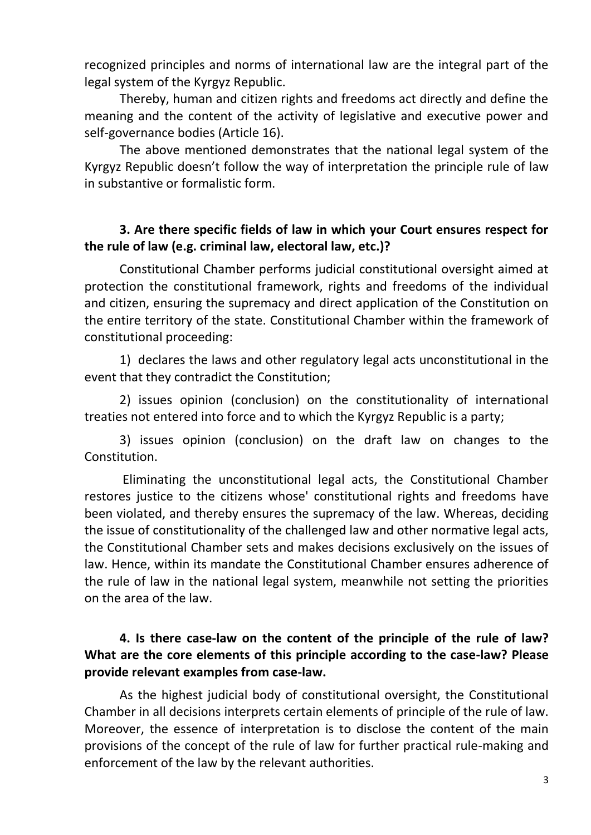recognized principles and norms of international law are the integral part of the legal system of the Kyrgyz Republic.

Thereby, human and citizen rights and freedoms act directly and define the meaning and the content of the activity of legislative and executive power and self-governance bodies (Article 16).

The above mentioned demonstrates that the national legal system of the Kyrgyz Republic doesn't follow the way of interpretation the principle rule of law in substantive or formalistic form.

## **3. Are there specific fields of law in which your Court ensures respect for the rule of law (e.g. criminal law, electoral law, etc.)?**

Constitutional Chamber performs judicial constitutional oversight aimed at protection the constitutional framework, rights and freedoms of the individual and citizen, ensuring the supremacy and direct application of the Constitution on the entire territory of the state. Constitutional Chamber within the framework of constitutional proceeding:

1) declares the laws and other regulatory legal acts unconstitutional in the event that they contradict the Constitution;

2) issues opinion (conclusion) on the constitutionality of international treaties not entered into force and to which the Kyrgyz Republic is a party;

3) issues opinion (conclusion) on the draft law on changes to the Constitution.

Eliminating the unconstitutional legal acts, the Constitutional Chamber restores justice to the citizens whose' constitutional rights and freedoms have been violated, and thereby ensures the supremacy of the law. Whereas, deciding the issue of constitutionality of the challenged law and other normative legal acts, the Constitutional Chamber sets and makes decisions exclusively on the issues of law. Hence, within its mandate the Constitutional Chamber ensures adherence of the rule of law in the national legal system, meanwhile not setting the priorities on the area of the law.

## **4. Is there case-law on the content of the principle of the rule of law? What are the core elements of this principle according to the case-law? Please provide relevant examples from case-law.**

As the highest judicial body of constitutional oversight, the Constitutional Chamber in all decisions interprets certain elements of principle of the rule of law. Moreover, the essence of interpretation is to disclose the content of the main provisions of the concept of the rule of law for further practical rule-making and enforcement of the law by the relevant authorities.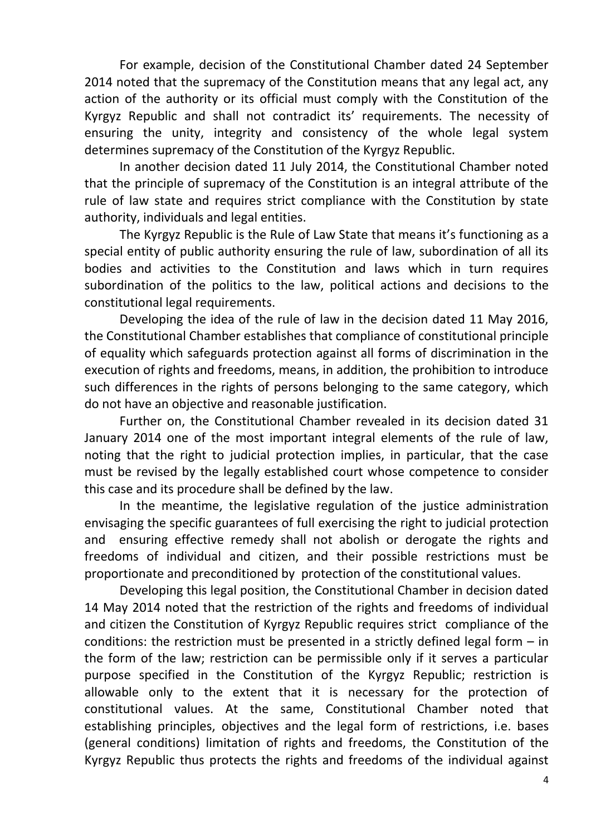For example, decision of the Constitutional Chamber dated 24 September 2014 noted that the supremacy of the Constitution means that any legal act, any action of the authority or its official must comply with the Constitution of the Kyrgyz Republic and shall not contradict its' requirements. The necessity of ensuring the unity, integrity and consistency of the whole legal system determines supremacy of the Constitution of the Kyrgyz Republic.

In another decision dated 11 July 2014, the Constitutional Chamber noted that the principle of supremacy of the Constitution is an integral attribute of the rule of law state and requires strict compliance with the Constitution by state authority, individuals and legal entities.

The Kyrgyz Republic is the Rule of Law State that means it's functioning as a special entity of public authority ensuring the rule of law, subordination of all its bodies and activities to the Constitution and laws which in turn requires subordination of the politics to the law, political actions and decisions to the constitutional legal requirements.

Developing the idea of the rule of law in the decision dated 11 May 2016, the Constitutional Chamber establishes that compliance of constitutional principle of equality which safeguards protection against all forms of discrimination in the execution of rights and freedoms, means, in addition, the prohibition to introduce such differences in the rights of persons belonging to the same category, which do not have an objective and reasonable justification.

Further on, the Constitutional Chamber revealed in its decision dated 31 January 2014 one of the most important integral elements of the rule of law, noting that the right to judicial protection implies, in particular, that the case must be revised by the legally established court whose competence to consider this case and its procedure shall be defined by the law.

In the meantime, the legislative regulation of the justice administration envisaging the specific guarantees of full exercising the right to judicial protection and ensuring effective remedy shall not abolish or derogate the rights and freedoms of individual and citizen, and their possible restrictions must be proportionate and preconditioned by protection of the constitutional values.

Developing this legal position, the Constitutional Chamber in decision dated 14 May 2014 noted that the restriction of the rights and freedoms of individual and citizen the Constitution of Kyrgyz Republic requires strict compliance of the conditions: the restriction must be presented in a strictly defined legal form – in the form of the law; restriction can be permissible only if it serves a particular purpose specified in the Constitution of the Kyrgyz Republic; restriction is allowable only to the extent that it is necessary for the protection of constitutional values. At the same, Constitutional Chamber noted that establishing principles, objectives and the legal form of restrictions, i.e. bases (general conditions) limitation of rights and freedoms, the Constitution of the Kyrgyz Republic thus protects the rights and freedoms of the individual against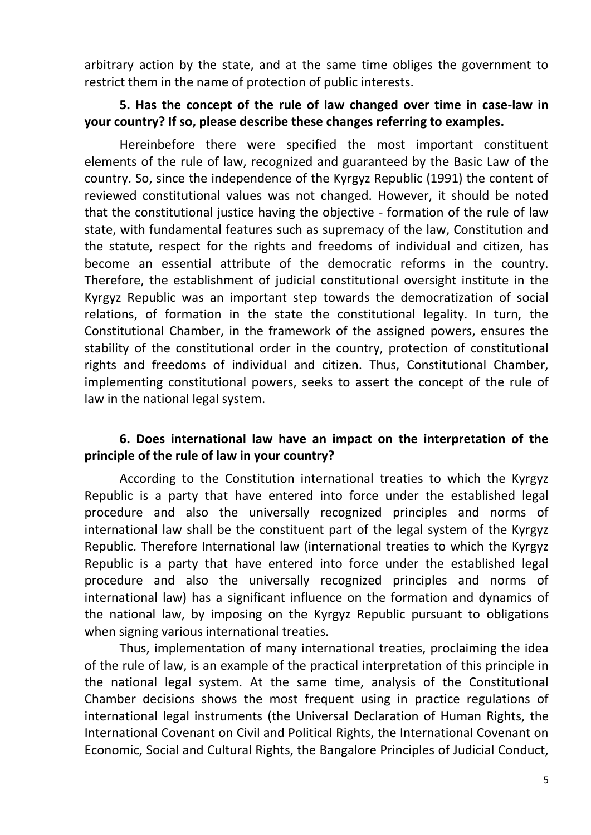arbitrary action by the state, and at the same time obliges the government to restrict them in the name of protection of public interests.

## **5. Has the concept of the rule of law changed over time in case-law in your country? If so, please describe these changes referring to examples.**

Hereinbefore there were specified the most important constituent elements of the rule of law, recognized and guaranteed by the Basic Law of the country. So, since the independence of the Kyrgyz Republic (1991) the content of reviewed constitutional values was not changed. However, it should be noted that the constitutional justice having the objective - formation of the rule of law state, with fundamental features such as supremacy of the law, Constitution and the statute, respect for the rights and freedoms of individual and citizen, has become an essential attribute of the democratic reforms in the country. Therefore, the establishment of judicial constitutional oversight institute in the Kyrgyz Republic was an important step towards the democratization of social relations, of formation in the state the constitutional legality. In turn, the Constitutional Chamber, in the framework of the assigned powers, ensures the stability of the constitutional order in the country, protection of constitutional rights and freedoms of individual and citizen. Thus, Constitutional Chamber, implementing constitutional powers, seeks to assert the concept of the rule of law in the national legal system.

## **6. Does international law have an impact on the interpretation of the principle of the rule of law in your country?**

According to the Constitution international treaties to which the Kyrgyz Republic is a party that have entered into force under the established legal procedure and also the universally recognized principles and norms of international law shall be the constituent part of the legal system of the Kyrgyz Republic. Therefore International law (international treaties to which the Kyrgyz Republic is a party that have entered into force under the established legal procedure and also the universally recognized principles and norms of international law) has a significant influence on the formation and dynamics of the national law, by imposing on the Kyrgyz Republic pursuant to obligations when signing various international treaties.

Thus, implementation of many international treaties, proclaiming the idea of the rule of law, is an example of the practical interpretation of this principle in the national legal system. At the same time, analysis of the Constitutional Chamber decisions shows the most frequent using in practice regulations of international legal instruments (the Universal Declaration of Human Rights, the International Covenant on Civil and Political Rights, the International Covenant on Economic, Social and Cultural Rights, the Bangalore Principles of Judicial Conduct,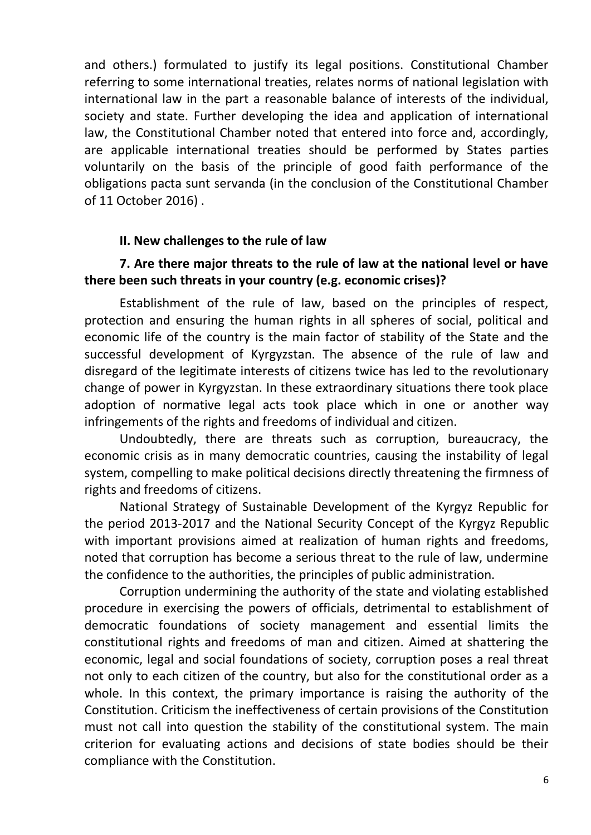and others.) formulated to justify its legal positions. Constitutional Chamber referring to some international treaties, relates norms of national legislation with international law in the part a reasonable balance of interests of the individual, society and state. Further developing the idea and application of international law, the Constitutional Chamber noted that entered into force and, accordingly, are applicable international treaties should be performed by States parties voluntarily on the basis of the principle of good faith performance of the obligations pacta sunt servanda (in the conclusion of the Constitutional Chamber of 11 October 2016) .

#### **II. New challenges to the rule of law**

### **7. Are there major threats to the rule of law at the national level or have there been such threats in your country (e.g. economic crises)?**

Establishment of the rule of law, based on the principles of respect, protection and ensuring the human rights in all spheres of social, political and economic life of the country is the main factor of stability of the State and the successful development of Kyrgyzstan. The absence of the rule of law and disregard of the legitimate interests of citizens twice has led to the revolutionary change of power in Kyrgyzstan. In these extraordinary situations there took place adoption of normative legal acts took place which in one or another way infringements of the rights and freedoms of individual and citizen.

Undoubtedly, there are threats such as corruption, bureaucracy, the economic crisis as in many democratic countries, causing the instability of legal system, compelling to make political decisions directly threatening the firmness of rights and freedoms of citizens.

National Strategy of Sustainable Development of the Kyrgyz Republic for the period 2013-2017 and the National Security Concept of the Kyrgyz Republic with important provisions aimed at realization of human rights and freedoms, noted that corruption has become a serious threat to the rule of law, undermine the confidence to the authorities, the principles of public administration.

Corruption undermining the authority of the state and violating established procedure in exercising the powers of officials, detrimental to establishment of democratic foundations of society management and essential limits the constitutional rights and freedoms of man and citizen. Aimed at shattering the economic, legal and social foundations of society, corruption poses a real threat not only to each citizen of the country, but also for the constitutional order as a whole. In this context, the primary importance is raising the authority of the Constitution. Criticism the ineffectiveness of certain provisions of the Constitution must not call into question the stability of the constitutional system. The main criterion for evaluating actions and decisions of state bodies should be their compliance with the Constitution.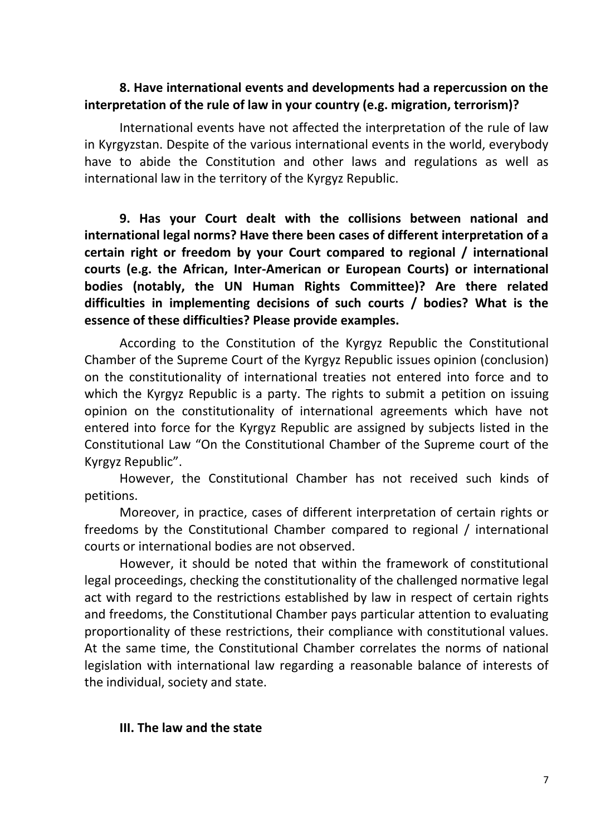### **8. Have international events and developments had a repercussion on the interpretation of the rule of law in your country (e.g. migration, terrorism)?**

International events have not affected the interpretation of the rule of law in Kyrgyzstan. Despite of the various international events in the world, everybody have to abide the Constitution and other laws and regulations as well as international law in the territory of the Kyrgyz Republic.

**9. Has your Court dealt with the collisions between national and international legal norms? Have there been cases of different interpretation of a certain right or freedom by your Court compared to regional / international courts (e.g. the African, Inter-American or European Courts) or international bodies (notably, the UN Human Rights Committee)? Are there related difficulties in implementing decisions of such courts / bodies? What is the essence of these difficulties? Please provide examples.**

According to the Constitution of the Kyrgyz Republic the Constitutional Chamber of the Supreme Court of the Kyrgyz Republic issues opinion (conclusion) on the constitutionality of international treaties not entered into force and to which the Kyrgyz Republic is a party. The rights to submit a petition on issuing opinion on the constitutionality of international agreements which have not entered into force for the Kyrgyz Republic are assigned by subjects listed in the Constitutional Law "On the Constitutional Chamber of the Supreme court of the Kyrgyz Republic".

However, the Constitutional Chamber has not received such kinds of petitions.

Moreover, in practice, cases of different interpretation of certain rights or freedoms by the Constitutional Chamber compared to regional / international courts or international bodies are not observed.

However, it should be noted that within the framework of constitutional legal proceedings, checking the constitutionality of the challenged normative legal act with regard to the restrictions established by law in respect of certain rights and freedoms, the Constitutional Chamber pays particular attention to evaluating proportionality of these restrictions, their compliance with constitutional values. At the same time, the Constitutional Chamber correlates the norms of national legislation with international law regarding a reasonable balance of interests of the individual, society and state.

### **III. The law and the state**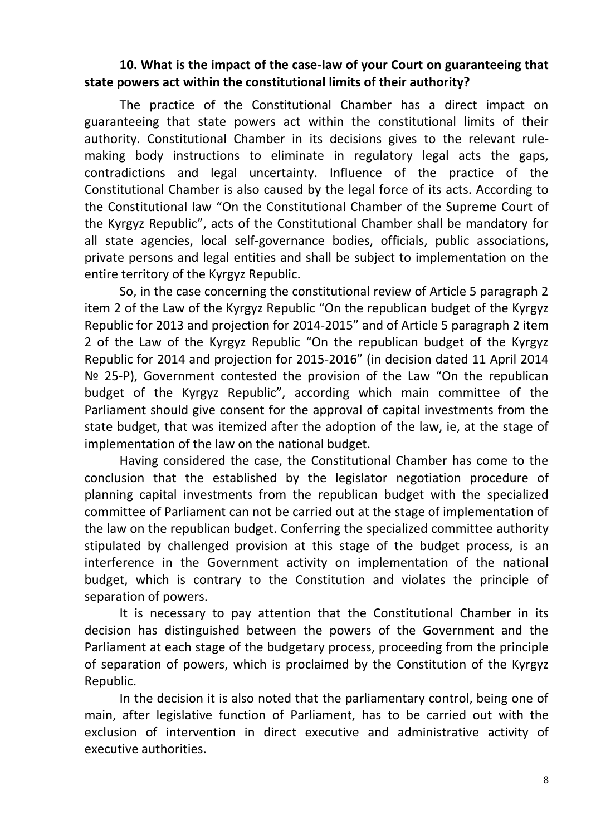## **10. What is the impact of the case-law of your Court on guaranteeing that state powers act within the constitutional limits of their authority?**

The practice of the Constitutional Chamber has a direct impact on guaranteeing that state powers act within the constitutional limits of their authority. Constitutional Chamber in its decisions gives to the relevant rulemaking body instructions to eliminate in regulatory legal acts the gaps, contradictions and legal uncertainty. Influence of the practice of the Constitutional Chamber is also caused by the legal force of its acts. According to the Constitutional law "On the Constitutional Chamber of the Supreme Court of the Kyrgyz Republic", acts of the Constitutional Chamber shall be mandatory for all state agencies, local self-governance bodies, officials, public associations, private persons and legal entities and shall be subject to implementation on the entire territory of the Kyrgyz Republic.

So, in the case concerning the constitutional review of Article 5 paragraph 2 item 2 of the Law of the Kyrgyz Republic "On the republican budget of the Kyrgyz Republic for 2013 and projection for 2014-2015" and of Article 5 paragraph 2 item 2 of the Law of the Kyrgyz Republic "On the republican budget of the Kyrgyz Republic for 2014 and projection for 2015-2016" (in decision dated 11 April 2014 № 25-P), Government contested the provision of the Law "On the republican budget of the Kyrgyz Republic", according which main committee of the Parliament should give consent for the approval of capital investments from the state budget, that was itemized after the adoption of the law, ie, at the stage of implementation of the law on the national budget.

Having considered the case, the Constitutional Chamber has come to the conclusion that the established by the legislator negotiation procedure of planning capital investments from the republican budget with the specialized committee of Parliament can not be carried out at the stage of implementation of the law on the republican budget. Conferring the specialized committee authority stipulated by challenged provision at this stage of the budget process, is an interference in the Government activity on implementation of the national budget, which is contrary to the Constitution and violates the principle of separation of powers.

It is necessary to pay attention that the Constitutional Chamber in its decision has distinguished between the powers of the Government and the Parliament at each stage of the budgetary process, proceeding from the principle of separation of powers, which is proclaimed by the Constitution of the Kyrgyz Republic.

In the decision it is also noted that the parliamentary control, being one of main, after legislative function of Parliament, has to be carried out with the exclusion of intervention in direct executive and administrative activity of executive authorities.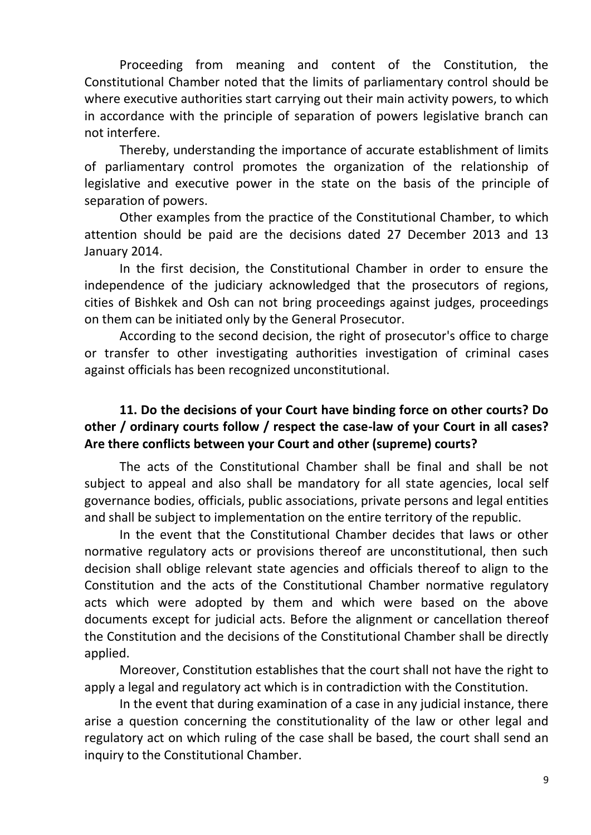Proceeding from meaning and content of the Constitution, the Constitutional Chamber noted that the limits of parliamentary control should be where executive authorities start carrying out their main activity powers, to which in accordance with the principle of separation of powers legislative branch can not interfere.

Thereby, understanding the importance of accurate establishment of limits of parliamentary control promotes the organization of the relationship of legislative and executive power in the state on the basis of the principle of separation of powers.

Other examples from the practice of the Constitutional Chamber, to which attention should be paid are the decisions dated 27 December 2013 and 13 January 2014.

In the first decision, the Constitutional Chamber in order to ensure the independence of the judiciary acknowledged that the prosecutors of regions, cities of Bishkek and Osh can not bring proceedings against judges, proceedings on them can be initiated only by the General Prosecutor.

According to the second decision, the right of prosecutor's office to charge or transfer to other investigating authorities investigation of criminal cases against officials has been recognized unconstitutional.

# **11. Do the decisions of your Court have binding force on other courts? Do other / ordinary courts follow / respect the case-law of your Court in all cases? Are there conflicts between your Court and other (supreme) courts?**

The acts of the Constitutional Chamber shall be final and shall be not subject to appeal and also shall be mandatory for all state agencies, local self governance bodies, officials, public associations, private persons and legal entities and shall be subject to implementation on the entire territory of the republic.

In the event that the Constitutional Chamber decides that laws or other normative regulatory acts or provisions thereof are unconstitutional, then such decision shall oblige relevant state agencies and officials thereof to align to the Constitution and the acts of the Constitutional Chamber normative regulatory acts which were adopted by them and which were based on the above documents except for judicial acts. Before the alignment or cancellation thereof the Constitution and the decisions of the Constitutional Chamber shall be directly applied.

Moreover, Constitution establishes that the court shall not have the right to apply a legal and regulatory act which is in contradiction with the Constitution.

In the event that during examination of a case in any judicial instance, there arise a question concerning the constitutionality of the law or other legal and regulatory act on which ruling of the case shall be based, the court shall send an inquiry to the Constitutional Chamber.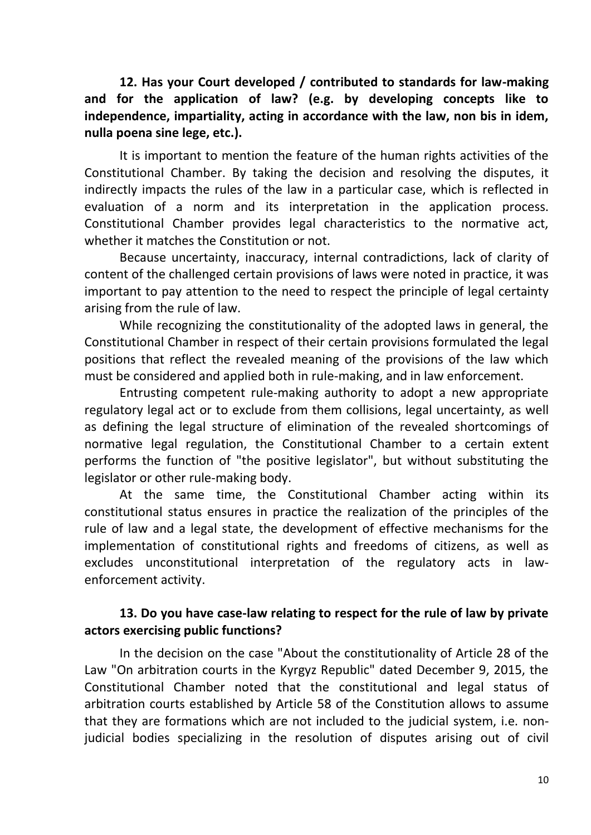**12. Has your Court developed / contributed to standards for law-making and for the application of law? (e.g. by developing concepts like to independence, impartiality, acting in accordance with the law, non bis in idem, nulla poena sine lege, etc.).**

It is important to mention the feature of the human rights activities of the Constitutional Chamber. By taking the decision and resolving the disputes, it indirectly impacts the rules of the law in a particular case, which is reflected in evaluation of a norm and its interpretation in the application process. Constitutional Chamber provides legal characteristics to the normative act, whether it matches the Constitution or not.

Because uncertainty, inaccuracy, internal contradictions, lack of clarity of content of the challenged certain provisions of laws were noted in practice, it was important to pay attention to the need to respect the principle of legal certainty arising from the rule of law.

While recognizing the constitutionality of the adopted laws in general, the Constitutional Chamber in respect of their certain provisions formulated the legal positions that reflect the revealed meaning of the provisions of the law which must be considered and applied both in rule-making, and in law enforcement.

Entrusting competent rule-making authority to adopt a new appropriate regulatory legal act or to exclude from them collisions, legal uncertainty, as well as defining the legal structure of elimination of the revealed shortcomings of normative legal regulation, the Constitutional Chamber to a certain extent performs the function of "the positive legislator", but without substituting the legislator or other rule-making body.

At the same time, the Constitutional Chamber acting within its constitutional status ensures in practice the realization of the principles of the rule of law and a legal state, the development of effective mechanisms for the implementation of constitutional rights and freedoms of citizens, as well as excludes unconstitutional interpretation of the regulatory acts in lawenforcement activity.

## **13. Do you have case-law relating to respect for the rule of law by private actors exercising public functions?**

In the decision on the case "About the constitutionality of Article 28 of the Law "On arbitration courts in the Kyrgyz Republic" dated December 9, 2015, the Constitutional Chamber noted that the constitutional and legal status of arbitration courts established by Article 58 of the Constitution allows to assume that they are formations which are not included to the judicial system, i.e. nonjudicial bodies specializing in the resolution of disputes arising out of civil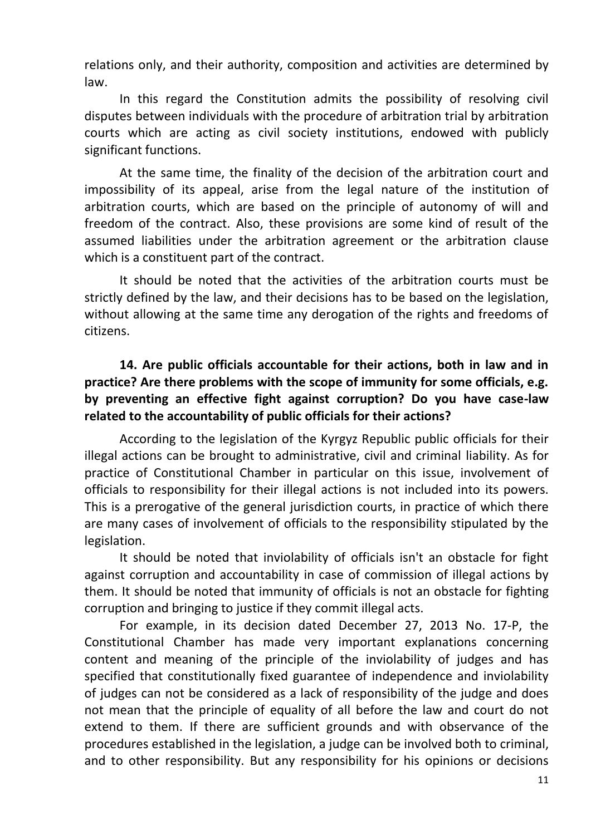relations only, and their authority, composition and activities are determined by law.

In this regard the Constitution admits the possibility of resolving civil disputes between individuals with the procedure of arbitration trial by arbitration courts which are acting as civil society institutions, endowed with publicly significant functions.

At the same time, the finality of the decision of the arbitration court and impossibility of its appeal, arise from the legal nature of the institution of arbitration courts, which are based on the principle of autonomy of will and freedom of the contract. Also, these provisions are some kind of result of the assumed liabilities under the arbitration agreement or the arbitration clause which is a constituent part of the contract.

It should be noted that the activities of the arbitration courts must be strictly defined by the law, and their decisions has to be based on the legislation, without allowing at the same time any derogation of the rights and freedoms of citizens.

# **14. Are public officials accountable for their actions, both in law and in practice? Are there problems with the scope of immunity for some officials, e.g. by preventing an effective fight against corruption? Do you have case-law related to the accountability of public officials for their actions?**

According to the legislation of the Kyrgyz Republic public officials for their illegal actions can be brought to administrative, civil and criminal liability. As for practice of Constitutional Chamber in particular on this issue, involvement of officials to responsibility for their illegal actions is not included into its powers. This is a prerogative of the general jurisdiction courts, in practice of which there are many cases of involvement of officials to the responsibility stipulated by the legislation.

It should be noted that inviolability of officials isn't an obstacle for fight against corruption and accountability in case of commission of illegal actions by them. It should be noted that immunity of officials is not an obstacle for fighting corruption and bringing to justice if they commit illegal acts.

For example, in its decision dated December 27, 2013 No. 17-P, the Constitutional Chamber has made very important explanations concerning content and meaning of the principle of the inviolability of judges and has specified that constitutionally fixed guarantee of independence and inviolability of judges can not be considered as a lack of responsibility of the judge and does not mean that the principle of equality of all before the law and court do not extend to them. If there are sufficient grounds and with observance of the procedures established in the legislation, a judge can be involved both to criminal, and to other responsibility. But any responsibility for his opinions or decisions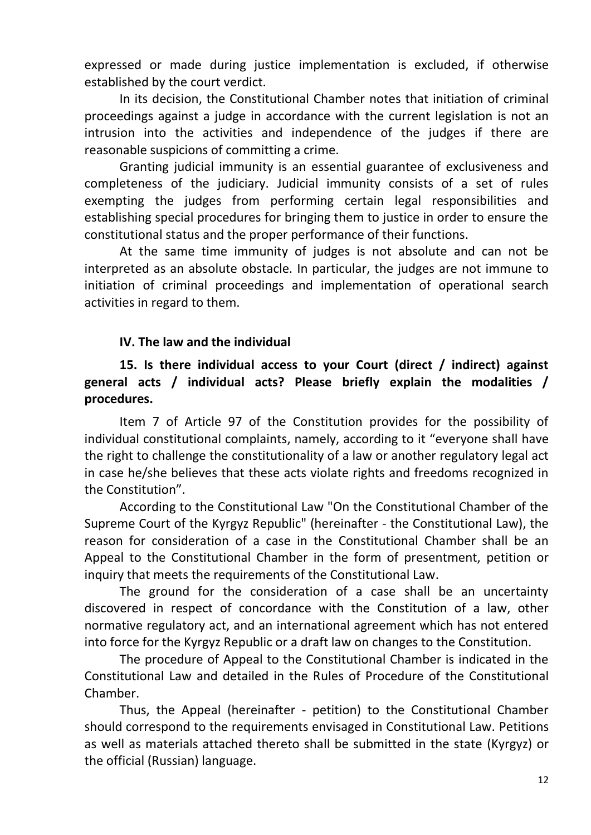expressed or made during justice implementation is excluded, if otherwise established by the court verdict.

In its decision, the Constitutional Chamber notes that initiation of criminal proceedings against a judge in accordance with the current legislation is not an intrusion into the activities and independence of the judges if there are reasonable suspicions of committing a crime.

Granting judicial immunity is an essential guarantee of exclusiveness and completeness of the judiciary. Judicial immunity consists of a set of rules exempting the judges from performing certain legal responsibilities and establishing special procedures for bringing them to justice in order to ensure the constitutional status and the proper performance of their functions.

At the same time immunity of judges is not absolute and can not be interpreted as an absolute obstacle. In particular, the judges are not immune to initiation of criminal proceedings and implementation of operational search activities in regard to them.

## **IV. The law and the individual**

# **15. Is there individual access to your Court (direct / indirect) against general acts / individual acts? Please briefly explain the modalities / procedures.**

Item 7 of Article 97 of the Constitution provides for the possibility of individual constitutional complaints, namely, according to it "everyone shall have the right to challenge the constitutionality of a law or another regulatory legal act in case he/she believes that these acts violate rights and freedoms recognized in the Constitution".

According to the Constitutional Law "On the Constitutional Chamber of the Supreme Court of the Kyrgyz Republic" (hereinafter - the Constitutional Law), the reason for consideration of a case in the Constitutional Chamber shall be an Appeal to the Constitutional Chamber in the form of presentment, petition or inquiry that meets the requirements of the Constitutional Law.

The ground for the consideration of a case shall be an uncertainty discovered in respect of concordance with the Constitution of a law, other normative regulatory act, and an international agreement which has not entered into force for the Kyrgyz Republic or a draft law on changes to the Constitution.

The procedure of Appeal to the Constitutional Chamber is indicated in the Constitutional Law and detailed in the Rules of Procedure of the Constitutional Chamber.

Thus, the Appeal (hereinafter - petition) to the Constitutional Chamber should correspond to the requirements envisaged in Constitutional Law. Petitions as well as materials attached thereto shall be submitted in the state (Kyrgyz) or the official (Russian) language.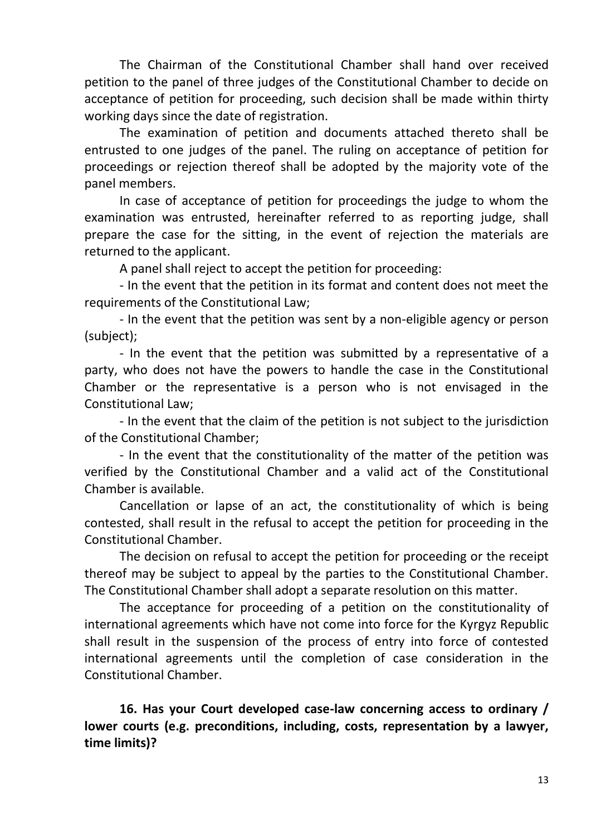The Chairman of the Constitutional Chamber shall hand over received petition to the panel of three judges of the Constitutional Chamber to decide on acceptance of petition for proceeding, such decision shall be made within thirty working days since the date of registration.

The examination of petition and documents attached thereto shall be entrusted to one judges of the panel. The ruling on acceptance of petition for proceedings or rejection thereof shall be adopted by the majority vote of the panel members.

In case of acceptance of petition for proceedings the judge to whom the examination was entrusted, hereinafter referred to as reporting judge, shall prepare the case for the sitting, in the event of rejection the materials are returned to the applicant.

A panel shall reject to accept the petition for proceeding:

- In the event that the petition in its format and content does not meet the requirements of the Constitutional Law;

- In the event that the petition was sent by a non-eligible agency or person (subject);

- In the event that the petition was submitted by a representative of a party, who does not have the powers to handle the case in the Constitutional Chamber or the representative is a person who is not envisaged in the Constitutional Law;

- In the event that the claim of the petition is not subject to the jurisdiction of the Constitutional Chamber;

- In the event that the constitutionality of the matter of the petition was verified by the Constitutional Chamber and a valid act of the Constitutional Chamber is available.

Cancellation or lapse of an act, the constitutionality of which is being contested, shall result in the refusal to accept the petition for proceeding in the Constitutional Chamber.

The decision on refusal to accept the petition for proceeding or the receipt thereof may be subject to appeal by the parties to the Constitutional Chamber. The Constitutional Chamber shall adopt a separate resolution on this matter.

The acceptance for proceeding of a petition on the constitutionality of international agreements which have not come into force for the Kyrgyz Republic shall result in the suspension of the process of entry into force of contested international agreements until the completion of case consideration in the Constitutional Chamber.

**16. Has your Court developed case-law concerning access to ordinary / lower courts (e.g. preconditions, including, costs, representation by a lawyer, time limits)?**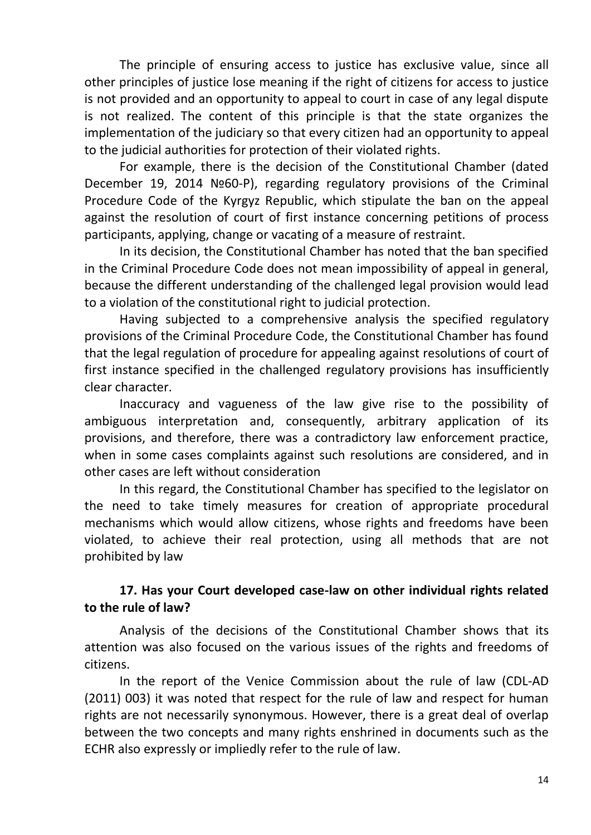The principle of ensuring access to justice has exclusive value, since all other principles of justice lose meaning if the right of citizens for access to justice is not provided and an opportunity to appeal to court in case of any legal dispute is not realized. The content of this principle is that the state organizes the implementation of the judiciary so that every citizen had an opportunity to appeal to the judicial authorities for protection of their violated rights.

For example, there is the decision of the Constitutional Chamber (dated December 19, 2014 №60-P), regarding regulatory provisions of the Criminal Procedure Code of the Kyrgyz Republic, which stipulate the ban on the appeal against the resolution of court of first instance concerning petitions of process participants, [applying,](http://www.multitran.ru/c/m.exe?t=7123485_1_2&ifp=1&s1=applying%20a%20measure%20of%20restraint) change or vacating of a measure of restraint.

In its decision, the Constitutional Chamber has noted that the ban specified in the Criminal Procedure Code does not mean impossibility of appeal in general, because the different understanding of the challenged legal provision would lead to a violation of the constitutional right to judicial protection.

Having subjected to a comprehensive analysis the specified regulatory provisions of the Criminal Procedure Code, the Constitutional Chamber has found that the legal regulation of procedure for appealing against resolutions of court of first instance specified in the challenged regulatory provisions has insufficiently clear character.

Inaccuracy and vagueness of the law give rise to the possibility of ambiguous interpretation and, consequently, arbitrary application of its provisions, and therefore, there was a contradictory law enforcement practice, when in some cases complaints against such resolutions are considered, and in other cases are left without consideration

In this regard, the Constitutional Chamber has specified to the legislator on the need to take timely measures for creation of appropriate procedural mechanisms which would allow citizens, whose rights and freedoms have been violated, to achieve their real protection, using all methods that are not prohibited by law

# **17. Has your Court developed case-law on other individual rights related to the rule of law?**

Analysis of the decisions of the Constitutional Chamber shows that its attention was also focused on the various issues of the rights and freedoms of citizens.

In the report of the Venice Commission about the rule of law (CDL-AD (2011) 003) it was noted that respect for the rule of law and respect for human rights are not necessarily synonymous. However, there is a great deal of overlap between the two concepts and many rights enshrined in documents such as the ECHR also expressly or impliedly refer to the rule of law.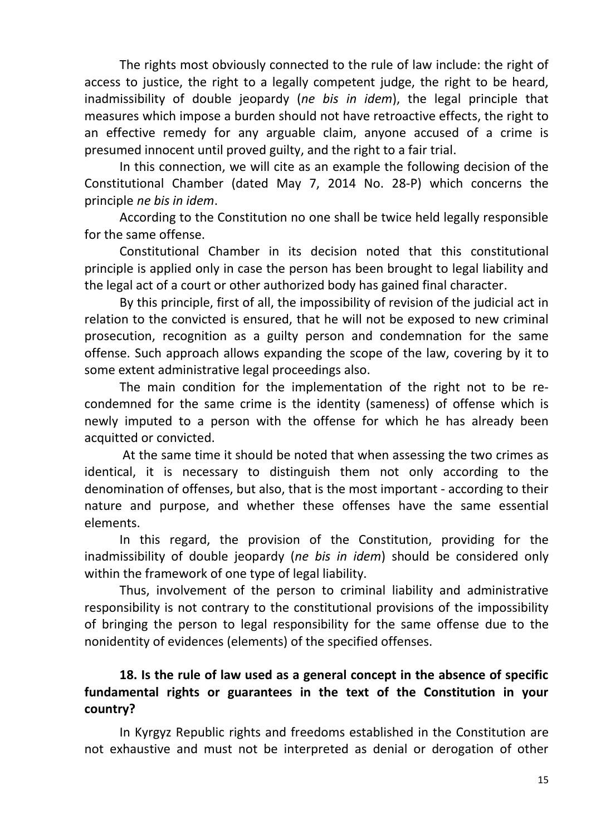The rights most obviously connected to the rule of law include: the right of access to justice, the right to a legally competent judge, the right to be heard, inadmissibility of double jeopardy (*ne bis in idem*), the legal principle that measures which impose a burden should not have retroactive effects, the right to an effective remedy for any arguable claim, anyone accused of a crime is presumed innocent until proved guilty, and the right to a fair trial.

In this connection, we will cite as an example the following decision of the Constitutional Chamber (dated May 7, 2014 No. 28-P) which concerns the principle *ne bis in idem*.

According to the Constitution no one shall be twice held legally responsible for the same offense.

Constitutional Chamber in its decision noted that this constitutional principle is applied only in case the person has been brought to legal liability and the legal act of a court or other authorized body has gained final character.

By this principle, first of all, the impossibility of revision of the judicial act in relation to the convicted is ensured, that he will not be exposed to new criminal prosecution, recognition as a guilty person and condemnation for the same offense. Such approach allows expanding the scope of the law, covering by it to some extent administrative legal proceedings also.

The main condition for the implementation of the right not to be recondemned for the same crime is the identity (sameness) of offense which is newly imputed to a person with the offense for which he has already been acquitted or convicted.

At the same time it should be noted that when assessing the two crimes as identical, it is necessary to distinguish them not only according to the denomination of offenses, but also, that is the most important - according to their nature and purpose, and whether these offenses have the same essential elements.

In this regard, the provision of the Constitution, providing for the inadmissibility of double jeopardy (*ne bis in idem*) should be considered only within the framework of one type of legal liability.

Thus, involvement of the person to criminal liability and administrative responsibility is not contrary to the constitutional provisions of the impossibility of bringing the person to legal responsibility for the same offense due to the nonidentity of evidences (elements) of the specified offenses.

# **18. Is the rule of law used as a general concept in the absence of specific fundamental rights or guarantees in the text of the Constitution in your country?**

In Kyrgyz Republic rights and freedoms established in the Constitution are not exhaustive and must not be interpreted as denial or derogation of other